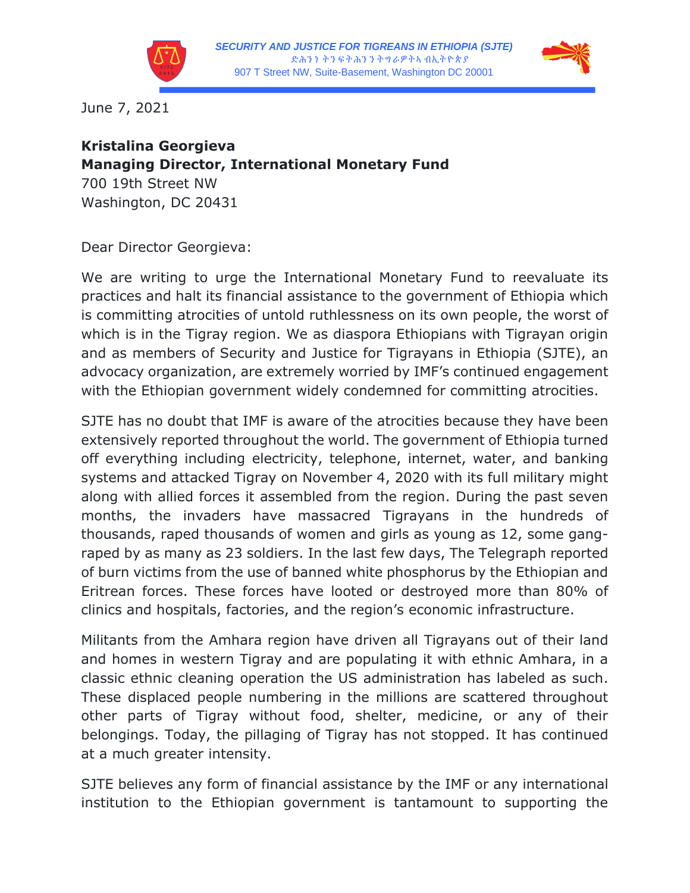



June 7, 2021

## **Kristalina Georgieva Managing Director, International Monetary Fund** 700 19th Street NW Washington, DC 20431

Dear Director Georgieva:

We are writing to urge the International Monetary Fund to reevaluate its practices and halt its financial assistance to the government of Ethiopia which is committing atrocities of untold ruthlessness on its own people, the worst of which is in the Tigray region. We as diaspora Ethiopians with Tigrayan origin and as members of Security and Justice for Tigrayans in Ethiopia (SJTE), an advocacy organization, are extremely worried by IMF's continued engagement with the Ethiopian government widely condemned for committing atrocities.

SJTE has no doubt that IMF is aware of the atrocities because they have been extensively reported throughout the world. The government of Ethiopia turned off everything including electricity, telephone, internet, water, and banking systems and attacked Tigray on November 4, 2020 with its full military might along with allied forces it assembled from the region. During the past seven months, the invaders have massacred Tigrayans in the hundreds of thousands, raped thousands of women and girls as young as 12, some gangraped by as many as 23 soldiers. In the last few days, The Telegraph reported of burn victims from the use of banned white phosphorus by the Ethiopian and Eritrean forces. These forces have looted or destroyed more than 80% of clinics and hospitals, factories, and the region's economic infrastructure.

Militants from the Amhara region have driven all Tigrayans out of their land and homes in western Tigray and are populating it with ethnic Amhara, in a classic ethnic cleaning operation the US administration has labeled as such. These displaced people numbering in the millions are scattered throughout other parts of Tigray without food, shelter, medicine, or any of their belongings. Today, the pillaging of Tigray has not stopped. It has continued at a much greater intensity.

SJTE believes any form of financial assistance by the IMF or any international institution to the Ethiopian government is tantamount to supporting the